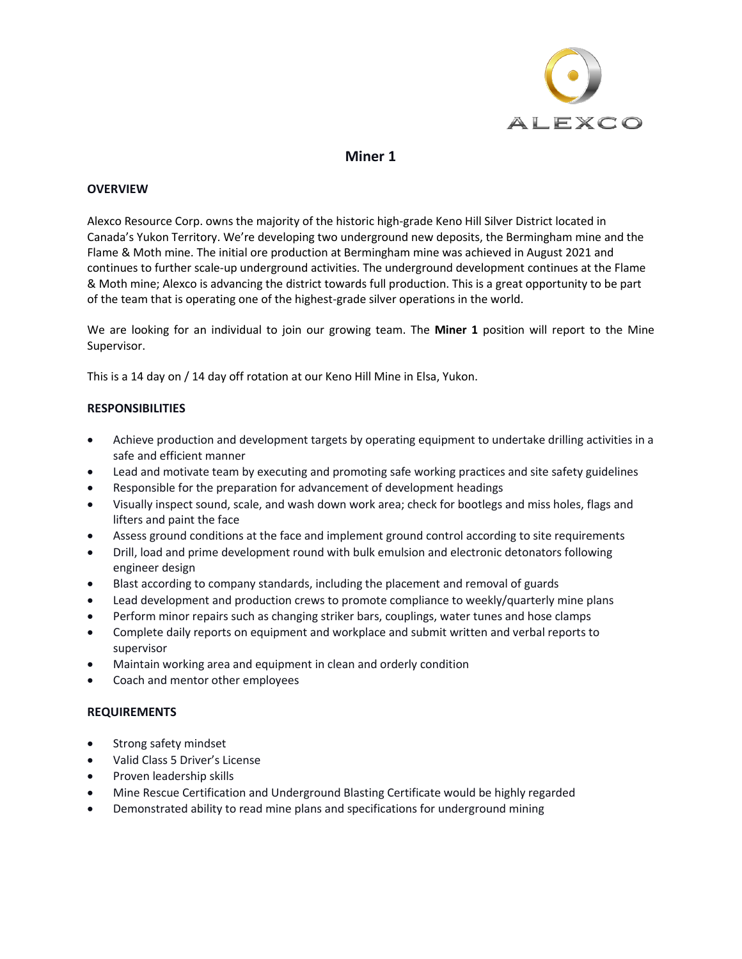

# **Miner 1**

# **OVERVIEW**

Alexco Resource Corp. owns the majority of the historic high-grade Keno Hill Silver District located in Canada's Yukon Territory. We're developing two underground new deposits, the Bermingham mine and the Flame & Moth mine. The initial ore production at Bermingham mine was achieved in August 2021 and continues to further scale-up underground activities. The underground development continues at the Flame & Moth mine; Alexco is advancing the district towards full production. This is a great opportunity to be part of the team that is operating one of the highest-grade silver operations in the world.

We are looking for an individual to join our growing team. The **Miner 1** position will report to the Mine Supervisor.

This is a 14 day on / 14 day off rotation at our Keno Hill Mine in Elsa, Yukon.

# **RESPONSIBILITIES**

- Achieve production and development targets by operating equipment to undertake drilling activities in a safe and efficient manner
- Lead and motivate team by executing and promoting safe working practices and site safety guidelines
- Responsible for the preparation for advancement of development headings
- Visually inspect sound, scale, and wash down work area; check for bootlegs and miss holes, flags and lifters and paint the face
- Assess ground conditions at the face and implement ground control according to site requirements
- Drill, load and prime development round with bulk emulsion and electronic detonators following engineer design
- Blast according to company standards, including the placement and removal of guards
- Lead development and production crews to promote compliance to weekly/quarterly mine plans
- Perform minor repairs such as changing striker bars, couplings, water tunes and hose clamps
- Complete daily reports on equipment and workplace and submit written and verbal reports to supervisor
- Maintain working area and equipment in clean and orderly condition
- Coach and mentor other employees

# **REQUIREMENTS**

- Strong safety mindset
- Valid Class 5 Driver's License
- Proven leadership skills
- Mine Rescue Certification and Underground Blasting Certificate would be highly regarded
- Demonstrated ability to read mine plans and specifications for underground mining